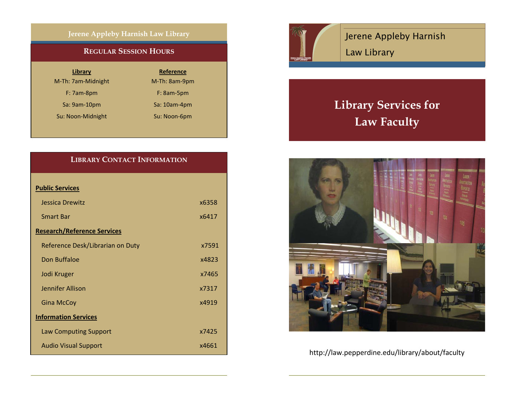### **Jerene Appleby Harnish Law Library**

### **REGULAR SESSION HOURS**

| Library |  |
|---------|--|
|         |  |

M-Th: 7am-Midnight

F: 7am-8pm

Sa: 9am-10pm

Su: Noon-Midnight Su: Noon-6pm

**Reference** M-Th: 8am-9pm F: 8am-5pm 9am‐10pm Sa: 10am‐4pm

## **LIBRARY CONTACT INFORMATION**

| <b>Public Services</b>             |       |
|------------------------------------|-------|
| Jessica Drewitz                    | x6358 |
| <b>Smart Bar</b>                   | x6417 |
| <b>Research/Reference Services</b> |       |
| Reference Desk/Librarian on Duty   | x7591 |
| Don Buffaloe                       | x4823 |
| Jodi Kruger                        | x7465 |
| Jennifer Allison                   | x7317 |
| <b>Gina McCoy</b>                  | x4919 |
| <b>Information Services</b>        |       |
| <b>Law Computing Support</b>       | x7425 |
| <b>Audio Visual Support</b>        | x4661 |



Jerene Appleby Harnish Law Library

# **Library Services for Law Faculty**



http://law.pepperdine.edu/library/about/faculty